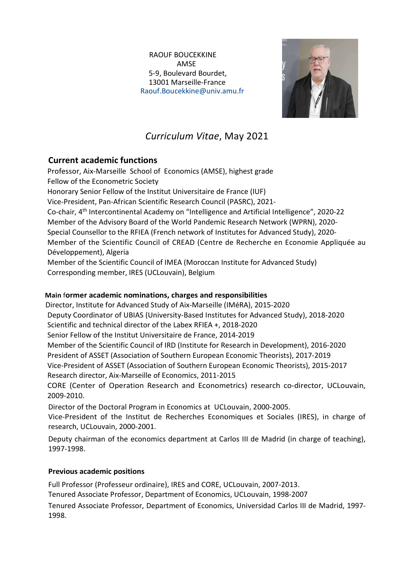#### RAOUF BOUCEKKINE AMSE 5-9, Boulevard Bourdet, 13001 Marseille-France Raouf.Boucekkine@univ.amu.fr



# Curriculum Vitae, May 2021

# Current academic functions

Professor, Aix-Marseille School of Economics (AMSE), highest grade Fellow of the Econometric Society Honorary Senior Fellow of the Institut Universitaire de France (IUF) Vice-President, Pan-African Scientific Research Council (PASRC), 2021- Co-chair, 4<sup>th</sup> Intercontinental Academy on "Intelligence and Artificial Intelligence", 2020-22 Member of the Advisory Board of the World Pandemic Research Network (WPRN), 2020- Special Counsellor to the RFIEA (French network of Institutes for Advanced Study), 2020- Member of the Scientific Council of CREAD (Centre de Recherche en Economie Appliquée au Développement), Algeria Member of the Scientific Council of IMEA (Moroccan Institute for Advanced Study)

Corresponding member, IRES (UCLouvain), Belgium

# Main former academic nominations, charges and responsibilities

 Director, Institute for Advanced Study of Aix-Marseille (IMéRA), 2015-2020 Deputy Coordinator of UBIAS (University-Based Institutes for Advanced Study), 2018-2020 Scientific and technical director of the Labex RFIEA +, 2018-2020 Senior Fellow of the Institut Universitaire de France, 2014-2019 Member of the Scientific Council of IRD (Institute for Research in Development), 2016-2020 President of ASSET (Association of Southern European Economic Theorists), 2017-2019 Vice-President of ASSET (Association of Southern European Economic Theorists), 2015-2017 Research director, Aix-Marseille of Economics, 2011-2015 CORE (Center of Operation Research and Econometrics) research co-director, UCLouvain,

2009-2010. Director of the Doctoral Program in Economics at UCLouvain, 2000-2005.

Vice-President of the Institut de Recherches Economiques et Sociales (IRES), in charge of research, UCLouvain, 2000-2001.

Deputy chairman of the economics department at Carlos III de Madrid (in charge of teaching), 1997-1998.

# Previous academic positions

Full Professor (Professeur ordinaire), IRES and CORE, UCLouvain, 2007-2013. Tenured Associate Professor, Department of Economics, UCLouvain, 1998-2007

Tenured Associate Professor, Department of Economics, Universidad Carlos III de Madrid, 1997- 1998.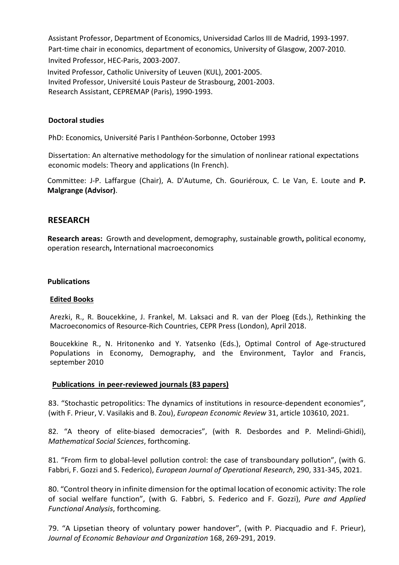Assistant Professor, Department of Economics, Universidad Carlos III de Madrid, 1993-1997. Part-time chair in economics, department of economics, University of Glasgow, 2007-2010. Invited Professor, HEC-Paris, 2003-2007. Invited Professor, Catholic University of Leuven (KUL), 2001-2005. Invited Professor, Université Louis Pasteur de Strasbourg, 2001-2003. Research Assistant, CEPREMAP (Paris), 1990-1993.

#### Doctoral studies

PhD: Economics, Université Paris I Panthéon-Sorbonne, October 1993

Dissertation: An alternative methodology for the simulation of nonlinear rational expectations economic models: Theory and applications (In French).

Committee: J-P. Laffargue (Chair), A. D'Autume, Ch. Gouriéroux, C. Le Van, E. Loute and P. Malgrange (Advisor).

# RESEARCH

Research areas: Growth and development, demography, sustainable growth, political economy, operation research, International macroeconomics

#### **Publications**

#### Edited Books

Arezki, R., R. Boucekkine, J. Frankel, M. Laksaci and R. van der Ploeg (Eds.), Rethinking the Macroeconomics of Resource-Rich Countries, CEPR Press (London), April 2018.

Boucekkine R., N. Hritonenko and Y. Yatsenko (Eds.), Optimal Control of Age-structured Populations in Economy, Demography, and the Environment, Taylor and Francis, september 2010

#### Publications in peer-reviewed journals (83 papers)

83. "Stochastic petropolitics: The dynamics of institutions in resource-dependent economies", (with F. Prieur, V. Vasilakis and B. Zou), European Economic Review 31, article 103610, 2021.

82. "A theory of elite-biased democracies", (with R. Desbordes and P. Melindi-Ghidi), Mathematical Social Sciences, forthcoming.

81. "From firm to global-level pollution control: the case of transboundary pollution", (with G. Fabbri, F. Gozzi and S. Federico), European Journal of Operational Research, 290, 331-345, 2021.

80. "Control theory in infinite dimension for the optimal location of economic activity: The role of social welfare function", (with G. Fabbri, S. Federico and F. Gozzi), Pure and Applied Functional Analysis, forthcoming.

79. "A Lipsetian theory of voluntary power handover", (with P. Piacquadio and F. Prieur), Journal of Economic Behaviour and Organization 168, 269-291, 2019.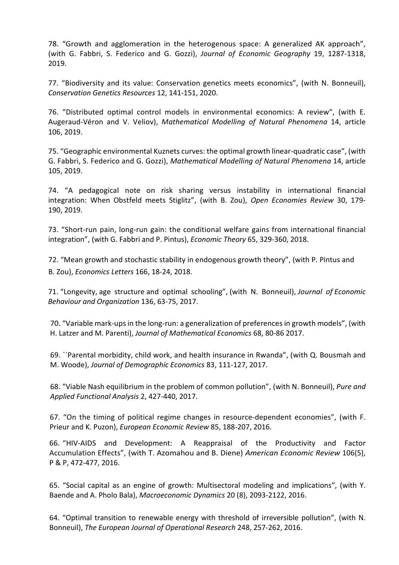78. "Growth and agglomeration in the heterogenous space: A generalized AK approach", (with G. Fabbri, S. Federico and G. Gozzi), Journal of Economic Geography 19, 1287-1318, 2019.

77. "Biodiversity and its value: Conservation genetics meets economics", (with N. Bonneuil), Conservation Genetics Resources 12, 141-151, 2020.

76. "Distributed optimal control models in environmental economics: A review", (with E. Augeraud-Véron and V. Veliov), Mathematical Modelling of Natural Phenomena 14, article 106, 2019.

75. "Geographic environmental Kuznets curves: the optimal growth linear-quadratic case", (with G. Fabbri, S. Federico and G. Gozzi), Mathematical Modelling of Natural Phenomena 14, article 105, 2019.

74. "A pedagogical note on risk sharing versus instability in international financial integration: When Obstfeld meets Stiglitz", (with B. Zou), Open Economies Review 30, 179- 190, 2019.

73. "Short-run pain, long-run gain: the conditional welfare gains from international financial integration", (with G. Fabbri and P. Pintus), Economic Theory 65, 329-360, 2018.

72. "Mean growth and stochastic stability in endogenous growth theory", (with P. Pintus and B. Zou), Economics Letters 166, 18-24, 2018.

71. "Longevity, age structure and optimal schooling", (with N. Bonneuil), Journal of Economic Behaviour and Organization 136, 63-75, 2017.

70. "Variable mark-ups in the long-run: a generalization of preferences in growth models", (with H. Latzer and M. Parenti), Journal of Mathematical Economics 68, 80-86 2017.

69. ``Parental morbidity, child work, and health insurance in Rwanda", (with Q. Bousmah and M. Woode), Journal of Demographic Economics 83, 111-127, 2017.

68. "Viable Nash equilibrium in the problem of common pollution", (with N. Bonneuil), Pure and Applied Functional Analysis 2, 427-440, 2017.

67. "On the timing of political regime changes in resource-dependent economies", (with F. Prieur and K. Puzon), European Economic Review 85, 188-207, 2016.

66. "HIV-AIDS and Development: A Reappraisal of the Productivity and Factor Accumulation Effects", (with T. Azomahou and B. Diene) American Economic Review 106(5), P & P, 472-477, 2016.

65. "Social capital as an engine of growth: Multisectoral modeling and implications", (with Y. Baende and A. Pholo Bala), Macroeconomic Dynamics 20 (8), 2093-2122, 2016.

64. "Optimal transition to renewable energy with threshold of irreversible pollution", (with N. Bonneuil), The European Journal of Operational Research 248, 257-262, 2016.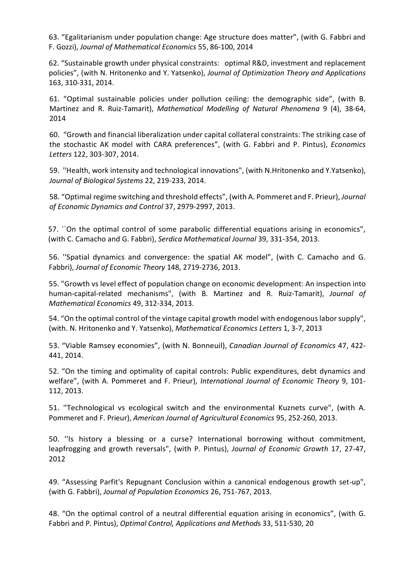63. "Egalitarianism under population change: Age structure does matter", (with G. Fabbri and F. Gozzi), Journal of Mathematical Economics 55, 86-100, 2014

62. "Sustainable growth under physical constraints: optimal R&D, investment and replacement policies", (with N. Hritonenko and Y. Yatsenko), Journal of Optimization Theory and Applications 163, 310-331, 2014.

61. "Optimal sustainable policies under pollution ceiling: the demographic side", (with B. Martinez and R. Ruiz-Tamarit), Mathematical Modelling of Natural Phenomena 9 (4), 38-64, 2014

60. "Growth and financial liberalization under capital collateral constraints: The striking case of the stochastic AK model with CARA preferences", (with G. Fabbri and P. Pintus), Economics Letters 122, 303-307, 2014.

59. ''Health, work intensity and technological innovations", (with N.Hritonenko and Y.Yatsenko), Journal of Biological Systems 22, 219-233, 2014.

58. "Optimal regime switching and threshold effects", (with A. Pommeret and F. Prieur), Journal of Economic Dynamics and Control 37, 2979-2997, 2013.

57. ``On the optimal control of some parabolic differential equations arising in economics", (with C. Camacho and G. Fabbri), Serdica Mathematical Journal 39, 331-354, 2013.

56. ''Spatial dynamics and convergence: the spatial AK model", (with C. Camacho and G. Fabbri), Journal of Economic Theory 148, 2719-2736, 2013.

55. "Growth vs level effect of population change on economic development: An inspection into human-capital-related mechanisms", (with B. Martinez and R. Ruiz-Tamarit), Journal of Mathematical Economics 49, 312-334, 2013.

54. "On the optimal control of the vintage capital growth model with endogenous labor supply", (with. N. Hritonenko and Y. Yatsenko), Mathematical Economics Letters 1, 3-7, 2013

53. "Viable Ramsey economies", (with N. Bonneuil), Canadian Journal of Economics 47, 422- 441, 2014.

52. "On the timing and optimality of capital controls: Public expenditures, debt dynamics and welfare", (with A. Pommeret and F. Prieur), International Journal of Economic Theory 9, 101- 112, 2013.

51. ''Technological vs ecological switch and the environmental Kuznets curve", (with A. Pommeret and F. Prieur), American Journal of Agricultural Economics 95, 252-260, 2013.

50. ''Is history a blessing or a curse? International borrowing without commitment, leapfrogging and growth reversals", (with P. Pintus), Journal of Economic Growth 17, 27-47, 2012

49. "Assessing Parfit's Repugnant Conclusion within a canonical endogenous growth set-up", (with G. Fabbri), Journal of Population Economics 26, 751-767, 2013.

48. "On the optimal control of a neutral differential equation arising in economics", (with G. Fabbri and P. Pintus), Optimal Control, Applications and Methods 33, 511-530, 20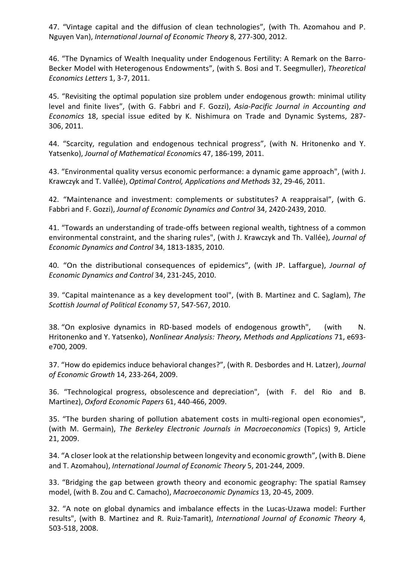47. "Vintage capital and the diffusion of clean technologies", (with Th. Azomahou and P. Nguyen Van), International Journal of Economic Theory 8, 277-300, 2012.

46. "The Dynamics of Wealth Inequality under Endogenous Fertility: A Remark on the Barro-Becker Model with Heterogenous Endowments", (with S. Bosi and T. Seegmuller), Theoretical Economics Letters 1, 3-7, 2011.

45. "Revisiting the optimal population size problem under endogenous growth: minimal utility level and finite lives", (with G. Fabbri and F. Gozzi), Asia-Pacific Journal in Accounting and Economics 18, special issue edited by K. Nishimura on Trade and Dynamic Systems, 287- 306, 2011.

44. "Scarcity, regulation and endogenous technical progress", (with N. Hritonenko and Y. Yatsenko), Journal of Mathematical Economics 47, 186-199, 2011.

43. "Environmental quality versus economic performance: a dynamic game approach", (with J. Krawczyk and T. Vallée), Optimal Control, Applications and Methods 32, 29-46, 2011.

42. "Maintenance and investment: complements or substitutes? A reappraisal", (with G. Fabbri and F. Gozzi), Journal of Economic Dynamics and Control 34, 2420-2439, 2010.

41. "Towards an understanding of trade-offs between regional wealth, tightness of a common environmental constraint, and the sharing rules", (with J. Krawczyk and Th. Vallée), Journal of Economic Dynamics and Control 34, 1813-1835, 2010.

40. "On the distributional consequences of epidemics", (with JP. Laffargue), Journal of Economic Dynamics and Control 34, 231-245, 2010.

39. "Capital maintenance as a key development tool", (with B. Martinez and C. Saglam), The Scottish Journal of Political Economy 57, 547-567, 2010.

38. "On explosive dynamics in RD-based models of endogenous growth", (with N. Hritonenko and Y. Yatsenko), Nonlinear Analysis: Theory, Methods and Applications 71, e693 e700, 2009.

37. "How do epidemics induce behavioral changes?", (with R. Desbordes and H. Latzer), Journal of Economic Growth 14, 233-264, 2009.

36. "Technological progress, obsolescence and depreciation", (with F. del Rio and B. Martinez), Oxford Economic Papers 61, 440-466, 2009.

35. "The burden sharing of pollution abatement costs in multi-regional open economies", (with M. Germain), The Berkeley Electronic Journals in Macroeconomics (Topics) 9, Article 21, 2009.

34. "A closer look at the relationship between longevity and economic growth", (with B. Diene and T. Azomahou), International Journal of Economic Theory 5, 201-244, 2009.

33. "Bridging the gap between growth theory and economic geography: The spatial Ramsey model, (with B. Zou and C. Camacho), Macroeconomic Dynamics 13, 20-45, 2009.

32. "A note on global dynamics and imbalance effects in the Lucas-Uzawa model: Further results", (with B. Martinez and R. Ruiz-Tamarit), International Journal of Economic Theory 4, 503-518, 2008.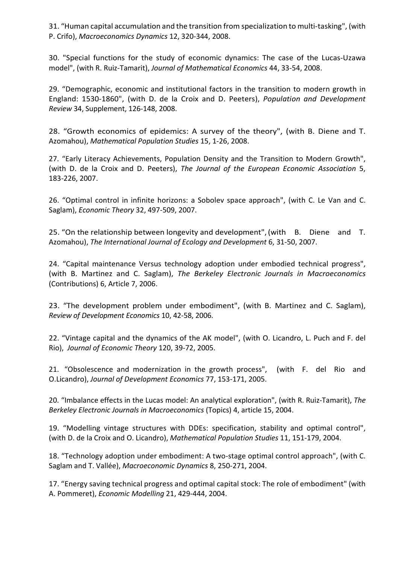31. "Human capital accumulation and the transition from specialization to multi-tasking", (with P. Crifo), Macroeconomics Dynamics 12, 320-344, 2008.

30. "Special functions for the study of economic dynamics: The case of the Lucas-Uzawa model", (with R. Ruiz-Tamarit), Journal of Mathematical Economics 44, 33-54, 2008.

29. "Demographic, economic and institutional factors in the transition to modern growth in England: 1530-1860", (with D. de la Croix and D. Peeters), Population and Development Review 34, Supplement, 126-148, 2008.

28. "Growth economics of epidemics: A survey of the theory", (with B. Diene and T. Azomahou), Mathematical Population Studies 15, 1-26, 2008.

27. "Early Literacy Achievements, Population Density and the Transition to Modern Growth", (with D. de la Croix and D. Peeters), The Journal of the European Economic Association 5, 183-226, 2007.

26. "Optimal control in infinite horizons: a Sobolev space approach", (with C. Le Van and C. Saglam), Economic Theory 32, 497-509, 2007.

25. "On the relationship between longevity and development",(with B. Diene and T. Azomahou), The International Journal of Ecology and Development 6, 31-50, 2007.

24. "Capital maintenance Versus technology adoption under embodied technical progress", (with B. Martinez and C. Saglam), The Berkeley Electronic Journals in Macroeconomics (Contributions) 6, Article 7, 2006.

23. "The development problem under embodiment", (with B. Martinez and C. Saglam), Review of Development Economics 10, 42-58, 2006.

22. "Vintage capital and the dynamics of the AK model", (with O. Licandro, L. Puch and F. del Rio), Journal of Economic Theory 120, 39-72, 2005.

21. "Obsolescence and modernization in the growth process", (with F. del Rio and O.Licandro), Journal of Development Economics 77, 153-171, 2005.

20. "Imbalance effects in the Lucas model: An analytical exploration", (with R. Ruiz-Tamarit), The Berkeley Electronic Journals in Macroeconomics (Topics) 4, article 15, 2004.

19. "Modelling vintage structures with DDEs: specification, stability and optimal control", (with D. de la Croix and O. Licandro), Mathematical Population Studies 11, 151-179, 2004.

18. "Technology adoption under embodiment: A two-stage optimal control approach", (with C. Saglam and T. Vallée), Macroeconomic Dynamics 8, 250-271, 2004.

17. "Energy saving technical progress and optimal capital stock: The role of embodiment" (with A. Pommeret), Economic Modelling 21, 429-444, 2004.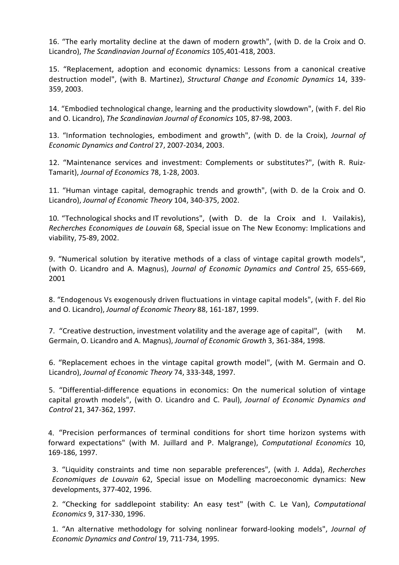16. "The early mortality decline at the dawn of modern growth", (with D. de la Croix and O. Licandro), The Scandinavian Journal of Economics 105,401-418, 2003.

15. "Replacement, adoption and economic dynamics: Lessons from a canonical creative destruction model", (with B. Martinez), Structural Change and Economic Dynamics 14, 339- 359, 2003.

14. "Embodied technological change, learning and the productivity slowdown", (with F. del Rio and O. Licandro), The Scandinavian Journal of Economics 105, 87-98, 2003.

13. "Information technologies, embodiment and growth", (with D. de la Croix), Journal of Economic Dynamics and Control 27, 2007-2034, 2003.

12. "Maintenance services and investment: Complements or substitutes?", (with R. Ruiz-Tamarit), Journal of Economics 78, 1-28, 2003.

11. "Human vintage capital, demographic trends and growth", (with D. de la Croix and O. Licandro), Journal of Economic Theory 104, 340-375, 2002.

10. "Technological shocks and IT revolutions", (with D. de la Croix and I. Vailakis), Recherches Economiques de Louvain 68, Special issue on The New Economy: Implications and viability, 75-89, 2002.

9. "Numerical solution by iterative methods of a class of vintage capital growth models", (with O. Licandro and A. Magnus), Journal of Economic Dynamics and Control 25, 655-669, 2001

8. "Endogenous Vs exogenously driven fluctuations in vintage capital models", (with F. del Rio and O. Licandro), Journal of Economic Theory 88, 161-187, 1999.

7. "Creative destruction, investment volatility and the average age of capital", (with M. Germain, O. Licandro and A. Magnus), Journal of Economic Growth 3, 361-384, 1998.

6. "Replacement echoes in the vintage capital growth model", (with M. Germain and O. Licandro), Journal of Economic Theory 74, 333-348, 1997.

5. "Differential-difference equations in economics: On the numerical solution of vintage capital growth models", (with O. Licandro and C. Paul), Journal of Economic Dynamics and Control 21, 347-362, 1997.

4. "Precision performances of terminal conditions for short time horizon systems with forward expectations" (with M. Juillard and P. Malgrange), Computational Economics 10, 169-186, 1997.

3. "Liquidity constraints and time non separable preferences", (with J. Adda), Recherches Economiques de Louvain 62, Special issue on Modelling macroeconomic dynamics: New developments, 377-402, 1996.

2. "Checking for saddlepoint stability: An easy test" (with C. Le Van), Computational Economics 9, 317-330, 1996.

1. "An alternative methodology for solving nonlinear forward-looking models", Journal of Economic Dynamics and Control 19, 711-734, 1995.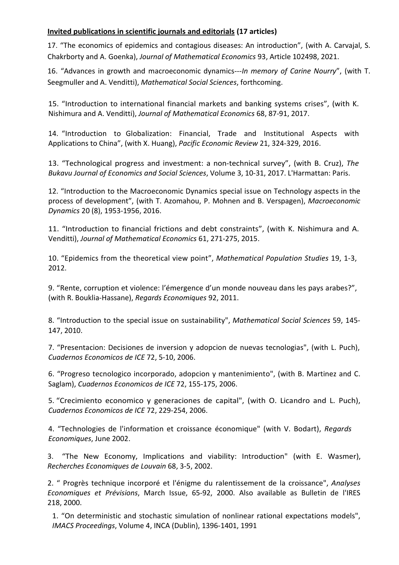# Invited publications in scientific journals and editorials (17 articles)

17. "The economics of epidemics and contagious diseases: An introduction", (with A. Carvajal, S. Chakrborty and A. Goenka), Journal of Mathematical Economics 93, Article 102498, 2021.

16. "Advances in growth and macroeconomic dynamics---In memory of Carine Nourry", (with T. Seegmuller and A. Venditti), Mathematical Social Sciences, forthcoming.

15. "Introduction to international financial markets and banking systems crises", (with K. Nishimura and A. Venditti), Journal of Mathematical Economics 68, 87-91, 2017.

14. "Introduction to Globalization: Financial, Trade and Institutional Aspects with Applications to China", (with X. Huang), Pacific Economic Review 21, 324-329, 2016.

13. "Technological progress and investment: a non-technical survey", (with B. Cruz), The Bukavu Journal of Economics and Social Sciences, Volume 3, 10-31, 2017. L'Harmattan: Paris.

12. "Introduction to the Macroeconomic Dynamics special issue on Technology aspects in the process of development", (with T. Azomahou, P. Mohnen and B. Verspagen), Macroeconomic Dynamics 20 (8), 1953-1956, 2016.

11. "Introduction to financial frictions and debt constraints", (with K. Nishimura and A. Venditti), Journal of Mathematical Economics 61, 271-275, 2015.

10. "Epidemics from the theoretical view point", Mathematical Population Studies 19, 1-3, 2012.

9. "Rente, corruption et violence: l'émergence d'un monde nouveau dans les pays arabes?", (with R. Bouklia-Hassane), Regards Economiques 92, 2011.

8. "Introduction to the special issue on sustainability", Mathematical Social Sciences 59, 145- 147, 2010.

7. "Presentacion: Decisiones de inversion y adopcion de nuevas tecnologias", (with L. Puch), Cuadernos Economicos de ICE 72, 5-10, 2006.

6. "Progreso tecnologico incorporado, adopcion y mantenimiento", (with B. Martinez and C. Saglam), Cuadernos Economicos de ICE 72, 155-175, 2006.

5. "Crecimiento economico y generaciones de capital", (with O. Licandro and L. Puch), Cuadernos Economicos de ICE 72, 229-254, 2006.

4. "Technologies de l'information et croissance économique" (with V. Bodart), Regards Economiques, June 2002.

3. "The New Economy, Implications and viability: Introduction" (with E. Wasmer), Recherches Economiques de Louvain 68, 3-5, 2002.

2. " Progrès technique incorporé et l'énigme du ralentissement de la croissance", Analyses Economiques et Prévisions, March Issue, 65-92, 2000. Also available as Bulletin de l'IRES 218, 2000.

1. "On deterministic and stochastic simulation of nonlinear rational expectations models", IMACS Proceedings, Volume 4, INCA (Dublin), 1396-1401, 1991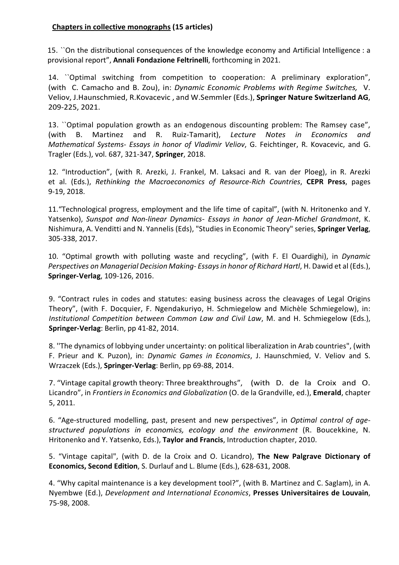# Chapters in collective monographs (15 articles)

15. ``On the distributional consequences of the knowledge economy and Artificial Intelligence : a provisional report", Annali Fondazione Feltrinelli, forthcoming in 2021.

14. ``Optimal switching from competition to cooperation: A preliminary exploration", (with C. Camacho and B. Zou), in: Dynamic Economic Problems with Regime Switches, V. Veliov, J.Haunschmied, R.Kovacevic, and W.Semmler (Eds.), Springer Nature Switzerland AG, 209-225, 2021.

13. ``Optimal population growth as an endogenous discounting problem: The Ramsey case", (with B. Martinez and R. Ruiz-Tamarit), Lecture Notes in Economics and Mathematical Systems- Essays in honor of Vladimir Veliov, G. Feichtinger, R. Kovacevic, and G. Tragler (Eds.), vol. 687, 321-347, Springer, 2018.

12. "Introduction", (with R. Arezki, J. Frankel, M. Laksaci and R. van der Ploeg), in R. Arezki et al. (Eds.), Rethinking the Macroeconomics of Resource-Rich Countries, CEPR Press, pages 9-19, 2018.

11."Technological progress, employment and the life time of capital", (with N. Hritonenko and Y. Yatsenko), Sunspot and Non-linear Dynamics- Essays in honor of Jean-Michel Grandmont, K. Nishimura, A. Venditti and N. Yannelis (Eds), "Studies in Economic Theory" series, Springer Verlag, 305-338, 2017.

10. "Optimal growth with polluting waste and recycling", (with F. El Ouardighi), in Dynamic Perspectives on Managerial Decision Making- Essays in honor of Richard Hartl, H. Dawid et al (Eds.), Springer-Verlag, 109-126, 2016.

9. "Contract rules in codes and statutes: easing business across the cleavages of Legal Origins Theory", (with F. Docquier, F. Ngendakuriyo, H. Schmiegelow and Michèle Schmiegelow), in: Institutional Competition between Common Law and Civil Law, M. and H. Schmiegelow (Eds.), Springer-Verlag: Berlin, pp 41-82, 2014.

8. ''The dynamics of lobbying under uncertainty: on political liberalization in Arab countries", (with F. Prieur and K. Puzon), in: Dynamic Games in Economics, J. Haunschmied, V. Veliov and S. Wrzaczek (Eds.), Springer-Verlag: Berlin, pp 69-88, 2014.

7. "Vintage capital growth theory: Three breakthroughs", (with D. de la Croix and O. Licandro", in Frontiers in Economics and Globalization (O. de la Grandville, ed.), Emerald, chapter 5, 2011.

6. "Age-structured modelling, past, present and new perspectives", in Optimal control of agestructured populations in economics, ecology and the environment (R. Boucekkine, N. Hritonenko and Y. Yatsenko, Eds.), Taylor and Francis, Introduction chapter, 2010.

5. "Vintage capital", (with D. de la Croix and O. Licandro), The New Palgrave Dictionary of Economics, Second Edition, S. Durlauf and L. Blume (Eds.), 628-631, 2008.

4. "Why capital maintenance is a key development tool?", (with B. Martinez and C. Saglam), in A. Nyembwe (Ed.), Development and International Economics, Presses Universitaires de Louvain, 75-98, 2008.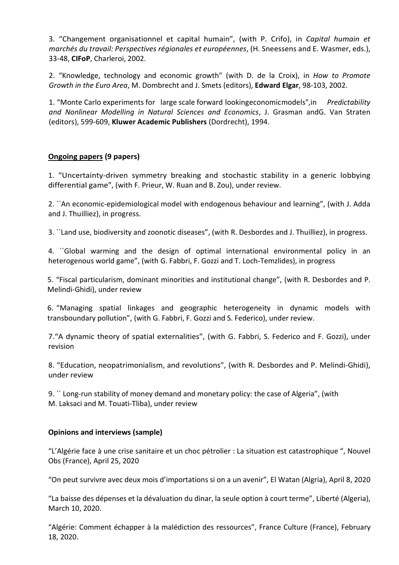3. "Changement organisationnel et capital humain", (with P. Crifo), in Capital humain et marchés du travail: Perspectives régionales et européennes, (H. Sneessens and E. Wasmer, eds.), 33-48, CIFoP, Charleroi, 2002.

2. "Knowledge, technology and economic growth" (with D. de la Croix), in How to Promote Growth in the Euro Area, M. Dombrecht and J. Smets (editors), Edward Elgar, 98-103, 2002.

1. "Monte Carlo experiments for large scale forward looking economic models", in Predictability and Nonlinear Modelling in Natural Sciences and Economics, J. Grasman andG. Van Straten (editors), 599-609, Kluwer Academic Publishers (Dordrecht), 1994.

# Ongoing papers (9 papers)

1. "Uncertainty-driven symmetry breaking and stochastic stability in a generic lobbying differential game", (with F. Prieur, W. Ruan and B. Zou), under review.

2. ``An economic-epidemiological model with endogenous behaviour and learning", (with J. Adda and J. Thuilliez), in progress.

3. ``Land use, biodiversity and zoonotic diseases", (with R. Desbordes and J. Thuilliez), in progress.

4. ``Global warming and the design of optimal international environmental policy in an heterogenous world game", (with G. Fabbri, F. Gozzi and T. Loch-Temzlides), in progress

5. "Fiscal particularism, dominant minorities and institutional change", (with R. Desbordes and P. Melindi-Ghidi), under review

6. "Managing spatial linkages and geographic heterogeneity in dynamic models with transboundary pollution", (with G. Fabbri, F. Gozzi and S. Federico), under review.

7."A dynamic theory of spatial externalities", (with G. Fabbri, S. Federico and F. Gozzi), under revision

8. "Education, neopatrimonialism, and revolutions", (with R. Desbordes and P. Melindi-Ghidi), under review

9. `` Long-run stability of money demand and monetary policy: the case of Algeria", (with M. Laksaci and M. Touati-Tliba), under review

#### Opinions and interviews (sample)

"L'Algérie face à une crise sanitaire et un choc pétrolier : La situation est catastrophique ", Nouvel Obs (France), April 25, 2020

"On peut survivre avec deux mois d'importations si on a un avenir", El Watan (Algria), April 8, 2020

"La baisse des dépenses et la dévaluation du dinar, la seule option à court terme", Liberté (Algeria), March 10, 2020.

"Algérie: Comment échapper à la malédiction des ressources", France Culture (France), February 18, 2020.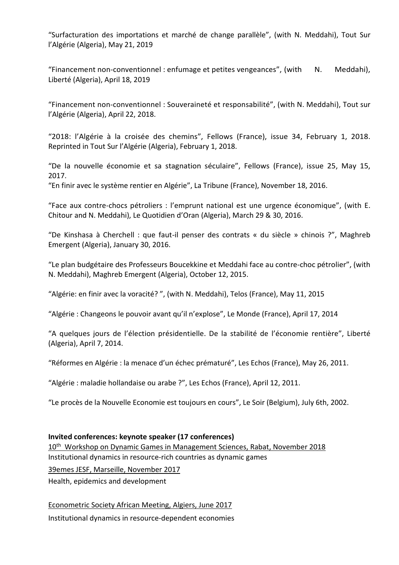"Surfacturation des importations et marché de change parallèle", (with N. Meddahi), Tout Sur l'Algérie (Algeria), May 21, 2019

"Financement non-conventionnel : enfumage et petites vengeances", (with  $N.$  Meddahi), Liberté (Algeria), April 18, 2019

"Financement non-conventionnel : Souveraineté et responsabilité", (with N. Meddahi), Tout sur l'Algérie (Algeria), April 22, 2018.

"2018: l'Algérie à la croisée des chemins", Fellows (France), issue 34, February 1, 2018. Reprinted in Tout Sur l'Algérie (Algeria), February 1, 2018.

"De la nouvelle économie et sa stagnation séculaire", Fellows (France), issue 25, May 15, 2017.

"En finir avec le système rentier en Algérie", La Tribune (France), November 18, 2016.

"Face aux contre-chocs pétroliers : l'emprunt national est une urgence économique", (with E. Chitour and N. Meddahi), Le Quotidien d'Oran (Algeria), March 29 & 30, 2016.

"De Kinshasa à Cherchell : que faut-il penser des contrats « du siècle » chinois ?", Maghreb Emergent (Algeria), January 30, 2016.

"Le plan budgétaire des Professeurs Boucekkine et Meddahi face au contre-choc pétrolier", (with N. Meddahi), Maghreb Emergent (Algeria), October 12, 2015.

"Algérie: en finir avec la voracité? ", (with N. Meddahi), Telos (France), May 11, 2015

"Algérie : Changeons le pouvoir avant qu'il n'explose", Le Monde (France), April 17, 2014

"A quelques jours de l'élection présidentielle. De la stabilité de l'économie rentière", Liberté (Algeria), April 7, 2014.

"Réformes en Algérie : la menace d'un échec prématuré", Les Echos (France), May 26, 2011.

"Algérie : maladie hollandaise ou arabe ?", Les Echos (France), April 12, 2011.

"Le procès de la Nouvelle Economie est toujours en cours", Le Soir (Belgium), July 6th, 2002.

#### Invited conferences: keynote speaker (17 conferences)

10th Workshop on Dynamic Games in Management Sciences, Rabat, November 2018 Institutional dynamics in resource-rich countries as dynamic games 39emes JESF, Marseille, November 2017 Health, epidemics and development

Econometric Society African Meeting, Algiers, June 2017 Institutional dynamics in resource-dependent economies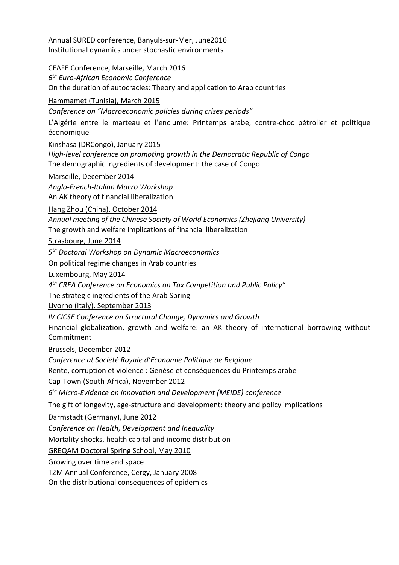Annual SURED conference, Banyuls-sur-Mer, June2016 Institutional dynamics under stochastic environments

#### CEAFE Conference, Marseille, March 2016

6 th Euro-African Economic Conference

On the duration of autocracies: Theory and application to Arab countries

### Hammamet (Tunisia), March 2015

Conference on "Macroeconomic policies during crises periods"

L'Algérie entre le marteau et l'enclume: Printemps arabe, contre-choc pétrolier et politique économique

#### Kinshasa (DRCongo), January 2015

High-level conference on promoting growth in the Democratic Republic of Congo The demographic ingredients of development: the case of Congo

#### Marseille, December 2014

Anglo-French-Italian Macro Workshop An AK theory of financial liberalization

#### Hang Zhou (China), October 2014

Annual meeting of the Chinese Society of World Economics (Zhejiang University) The growth and welfare implications of financial liberalization

Strasbourg, June 2014

5<sup>th</sup> Doctoral Workshop on Dynamic Macroeconomics

On political regime changes in Arab countries

#### Luxembourg, May 2014

4<sup>th</sup> CREA Conference on Economics on Tax Competition and Public Policy"

The strategic ingredients of the Arab Spring

Livorno (Italy), September 2013

IV CICSE Conference on Structural Change, Dynamics and Growth

Financial globalization, growth and welfare: an AK theory of international borrowing without Commitment

Brussels, December 2012

Conference at Société Royale d'Economie Politique de Belgique Rente, corruption et violence : Genèse et conséquences du Printemps arabe

Cap-Town (South-Africa), November 2012

6<sup>th</sup> Micro-Evidence on Innovation and Development (MEIDE) conference

The gift of longevity, age-structure and development: theory and policy implications

# Darmstadt (Germany), June 2012

Conference on Health, Development and Inequality

Mortality shocks, health capital and income distribution

GREQAM Doctoral Spring School, May 2010

Growing over time and space

T2M Annual Conference, Cergy, January 2008

On the distributional consequences of epidemics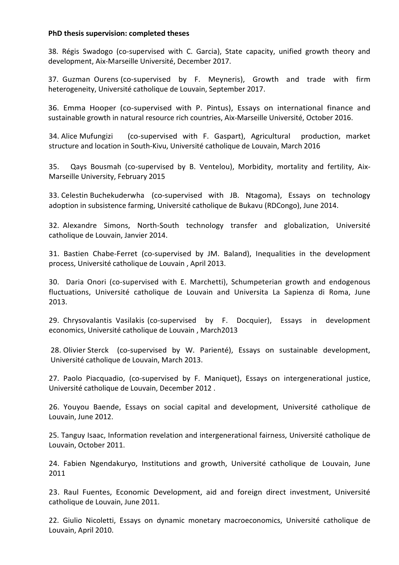#### PhD thesis supervision: completed theses

38. Régis Swadogo (co-supervised with C. Garcia), State capacity, unified growth theory and development, Aix-Marseille Université, December 2017.

37. Guzman Ourens (co-supervised by F. Meyneris), Growth and trade with firm heterogeneity, Université catholique de Louvain, September 2017.

36. Emma Hooper (co-supervised with P. Pintus), Essays on international finance and sustainable growth in natural resource rich countries, Aix-Marseille Université, October 2016.

34. Alice Mufungizi (co-supervised with F. Gaspart), Agricultural production, market structure and location in South-Kivu, Université catholique de Louvain, March 2016

35. Qays Bousmah (co-supervised by B. Ventelou), Morbidity, mortality and fertility, Aix-Marseille University, February 2015

33. Celestin Buchekuderwha (co-supervised with JB. Ntagoma), Essays on technology adoption in subsistence farming, Université catholique de Bukavu (RDCongo), June 2014.

32. Alexandre Simons, North-South technology transfer and globalization, Université catholique de Louvain, Janvier 2014.

31. Bastien Chabe-Ferret (co-supervised by JM. Baland), Inequalities in the development process, Université catholique de Louvain , April 2013.

30. Daria Onori (co-supervised with E. Marchetti), Schumpeterian growth and endogenous fluctuations, Université catholique de Louvain and Universita La Sapienza di Roma, June 2013.

29. Chrysovalantis Vasilakis (co-supervised by F. Docquier), Essays in development economics, Université catholique de Louvain , March2013

28. Olivier Sterck (co-supervised by W. Parienté), Essays on sustainable development, Université catholique de Louvain, March 2013.

27. Paolo Piacquadio, (co-supervised by F. Maniquet), Essays on intergenerational justice, Université catholique de Louvain, December 2012 .

26. Youyou Baende, Essays on social capital and development, Université catholique de Louvain, June 2012.

25. Tanguy Isaac, Information revelation and intergenerational fairness, Université catholique de Louvain, October 2011.

24. Fabien Ngendakuryo, Institutions and growth, Université catholique de Louvain, June 2011

23. Raul Fuentes, Economic Development, aid and foreign direct investment, Université catholique de Louvain, June 2011.

22. Giulio Nicoletti, Essays on dynamic monetary macroeconomics, Université catholique de Louvain, April 2010.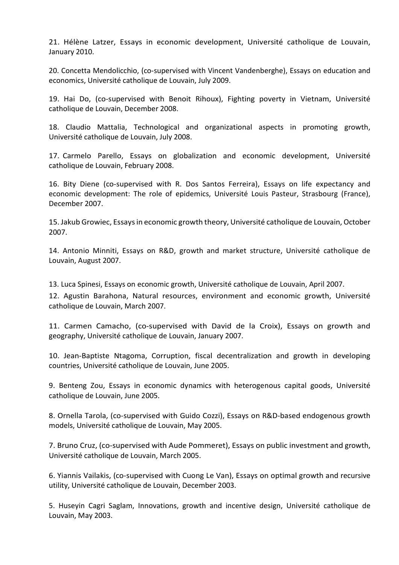21. Hélène Latzer, Essays in economic development, Université catholique de Louvain, January 2010.

20. Concetta Mendolicchio, (co-supervised with Vincent Vandenberghe), Essays on education and economics, Université catholique de Louvain, July 2009.

19. Hai Do, (co-supervised with Benoit Rihoux), Fighting poverty in Vietnam, Université catholique de Louvain, December 2008.

18. Claudio Mattalia, Technological and organizational aspects in promoting growth, Université catholique de Louvain, July 2008.

17. Carmelo Parello, Essays on globalization and economic development, Université catholique de Louvain, February 2008.

16. Bity Diene (co-supervised with R. Dos Santos Ferreira), Essays on life expectancy and economic development: The role of epidemics, Université Louis Pasteur, Strasbourg (France), December 2007.

15. Jakub Growiec, Essays in economic growth theory, Université catholique de Louvain, October 2007.

14. Antonio Minniti, Essays on R&D, growth and market structure, Université catholique de Louvain, August 2007.

13. Luca Spinesi, Essays on economic growth, Université catholique de Louvain, April 2007.

12. Agustin Barahona, Natural resources, environment and economic growth, Université catholique de Louvain, March 2007.

11. Carmen Camacho, (co-supervised with David de la Croix), Essays on growth and geography, Université catholique de Louvain, January 2007.

10. Jean-Baptiste Ntagoma, Corruption, fiscal decentralization and growth in developing countries, Université catholique de Louvain, June 2005.

9. Benteng Zou, Essays in economic dynamics with heterogenous capital goods, Université catholique de Louvain, June 2005.

8. Ornella Tarola, (co-supervised with Guido Cozzi), Essays on R&D-based endogenous growth models, Université catholique de Louvain, May 2005.

7. Bruno Cruz, (co-supervised with Aude Pommeret), Essays on public investment and growth, Université catholique de Louvain, March 2005.

6. Yiannis Vailakis, (co-supervised with Cuong Le Van), Essays on optimal growth and recursive utility, Université catholique de Louvain, December 2003.

5. Huseyin Cagri Saglam, Innovations, growth and incentive design, Université catholique de Louvain, May 2003.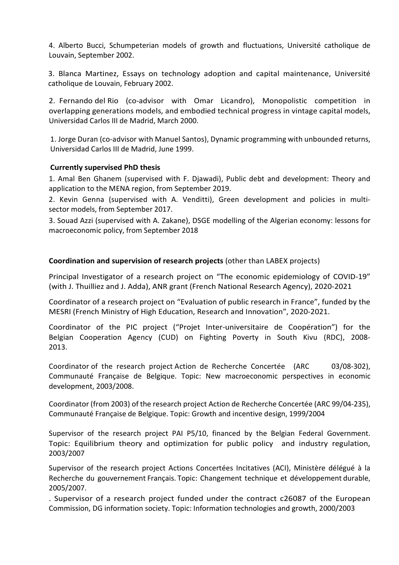4. Alberto Bucci, Schumpeterian models of growth and fluctuations, Université catholique de Louvain, September 2002.

3. Blanca Martinez, Essays on technology adoption and capital maintenance, Université catholique de Louvain, February 2002.

2. Fernando del Rio (co-advisor with Omar Licandro), Monopolistic competition in overlapping generations models, and embodied technical progress in vintage capital models, Universidad Carlos III de Madrid, March 2000.

1. Jorge Duran (co-advisor with Manuel Santos), Dynamic programming with unbounded returns, Universidad Carlos III de Madrid, June 1999.

#### Currently supervised PhD thesis

1. Amal Ben Ghanem (supervised with F. Djawadi), Public debt and development: Theory and application to the MENA region, from September 2019.

2. Kevin Genna (supervised with A. Venditti), Green development and policies in multisector models, from September 2017.

3. Souad Azzi (supervised with A. Zakane), DSGE modelling of the Algerian economy: lessons for macroeconomic policy, from September 2018

#### Coordination and supervision of research projects (other than LABEX projects)

Principal Investigator of a research project on "The economic epidemiology of COVID-19" (with J. Thuilliez and J. Adda), ANR grant (French National Research Agency), 2020-2021

Coordinator of a research project on "Evaluation of public research in France", funded by the MESRI (French Ministry of High Education, Research and Innovation", 2020-2021.

Coordinator of the PIC project ("Projet Inter-universitaire de Coopération") for the Belgian Cooperation Agency (CUD) on Fighting Poverty in South Kivu (RDC), 2008- 2013.

Coordinator of the research project Action de Recherche Concertée (ARC 03/08-302), Communauté Française de Belgique. Topic: New macroeconomic perspectives in economic development, 2003/2008.

Coordinator (from 2003) of the research project Action de Recherche Concertée (ARC 99/04-235), Communauté Française de Belgique. Topic: Growth and incentive design, 1999/2004

Supervisor of the research project PAI P5/10, financed by the Belgian Federal Government. Topic: Equilibrium theory and optimization for public policy and industry regulation, 2003/2007

Supervisor of the research project Actions Concertées Incitatives (ACI), Ministère délégué à la Recherche du gouvernement Français. Topic: Changement technique et développement durable, 2005/2007.

. Supervisor of a research project funded under the contract c26087 of the European Commission, DG information society. Topic: Information technologies and growth, 2000/2003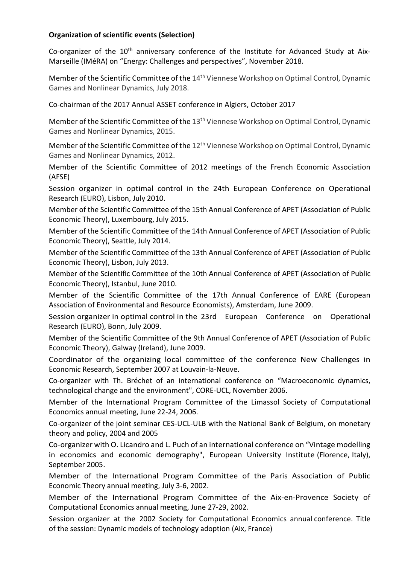# Organization of scientific events (Selection)

Co-organizer of the 10<sup>th</sup> anniversary conference of the Institute for Advanced Study at Aix-Marseille (IMéRA) on "Energy: Challenges and perspectives", November 2018.

Member of the Scientific Committee of the 14<sup>th</sup> Viennese Workshop on Optimal Control, Dynamic Games and Nonlinear Dynamics, July 2018.

Co-chairman of the 2017 Annual ASSET conference in Algiers, October 2017

Member of the Scientific Committee of the 13<sup>th</sup> Viennese Workshop on Optimal Control, Dynamic Games and Nonlinear Dynamics, 2015.

Member of the Scientific Committee of the 12<sup>th</sup> Viennese Workshop on Optimal Control, Dynamic Games and Nonlinear Dynamics, 2012.

Member of the Scientific Committee of 2012 meetings of the French Economic Association (AFSE)

Session organizer in optimal control in the 24th European Conference on Operational Research (EURO), Lisbon, July 2010.

Member of the Scientific Committee of the 15th Annual Conference of APET (Association of Public Economic Theory), Luxembourg, July 2015.

Member of the Scientific Committee of the 14th Annual Conference of APET (Association of Public Economic Theory), Seattle, July 2014.

Member of the Scientific Committee of the 13th Annual Conference of APET (Association of Public Economic Theory), Lisbon, July 2013.

Member of the Scientific Committee of the 10th Annual Conference of APET (Association of Public Economic Theory), Istanbul, June 2010.

Member of the Scientific Committee of the 17th Annual Conference of EARE (European Association of Environmental and Resource Economists), Amsterdam, June 2009.

Session organizer in optimal control in the 23rd European Conference on Operational Research (EURO), Bonn, July 2009.

Member of the Scientific Committee of the 9th Annual Conference of APET (Association of Public Economic Theory), Galway (Ireland), June 2009.

Coordinator of the organizing local committee of the conference New Challenges in Economic Research, September 2007 at Louvain-la-Neuve.

Co-organizer with Th. Bréchet of an international conference on "Macroeconomic dynamics, technological change and the environment", CORE-UCL, November 2006.

Member of the International Program Committee of the Limassol Society of Computational Economics annual meeting, June 22-24, 2006.

Co-organizer of the joint seminar CES-UCL-ULB with the National Bank of Belgium, on monetary theory and policy, 2004 and 2005

Co-organizer with O. Licandro and L. Puch of an international conference on "Vintage modelling in economics and economic demography", European University Institute (Florence, Italy), September 2005.

Member of the International Program Committee of the Paris Association of Public Economic Theory annual meeting, July 3-6, 2002.

Member of the International Program Committee of the Aix-en-Provence Society of Computational Economics annual meeting, June 27-29, 2002.

Session organizer at the 2002 Society for Computational Economics annual conference. Title of the session: Dynamic models of technology adoption (Aix, France)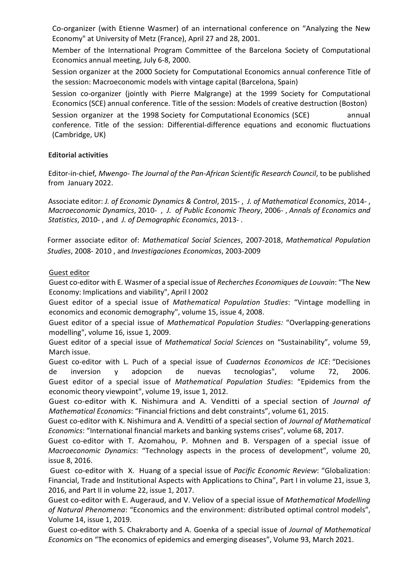Co-organizer (with Etienne Wasmer) of an international conference on "Analyzing the New Economy" at University of Metz (France), April 27 and 28, 2001.

Member of the International Program Committee of the Barcelona Society of Computational Economics annual meeting, July 6-8, 2000.

Session organizer at the 2000 Society for Computational Economics annual conference Title of the session: Macroeconomic models with vintage capital (Barcelona, Spain)

Session co-organizer (jointly with Pierre Malgrange) at the 1999 Society for Computational Economics (SCE) annual conference. Title of the session: Models of creative destruction (Boston) Session organizer at the 1998 Society for Computational Economics (SCE) annual

conference. Title of the session: Differential-difference equations and economic fluctuations (Cambridge, UK)

# Editorial activities

Editor-in-chief, Mwengo- The Journal of the Pan-African Scientific Research Council, to be published from January 2022.

Associate editor: J. of Economic Dynamics & Control, 2015- , J. of Mathematical Economics, 2014- , Macroeconomic Dynamics, 2010- , J. of Public Economic Theory, 2006- , Annals of Economics and Statistics, 2010- , and J. of Demographic Economics, 2013- .

Former associate editor of: Mathematical Social Sciences, 2007-2018, Mathematical Population Studies, 2008- 2010 , and Investigaciones Economicas, 2003-2009

# Guest editor

Guest co-editor with E. Wasmer of a special issue of Recherches Economiques de Louvain: "The New Economy: Implications and viability", April l 2002

Guest editor of a special issue of Mathematical Population Studies: "Vintage modelling in economics and economic demography", volume 15, issue 4, 2008.

Guest editor of a special issue of Mathematical Population Studies: "Overlapping-generations modelling", volume 16, issue 1, 2009.

Guest editor of a special issue of Mathematical Social Sciences on "Sustainability", volume 59, March issue.

Guest co-editor with L. Puch of a special issue of Cuadernos Economicos de ICE: "Decisiones de inversion y adopcion de nuevas tecnologias", volume 72, 2006. Guest editor of a special issue of Mathematical Population Studies: "Epidemics from the economic theory viewpoint", volume 19, issue 1, 2012.

Guest co-editor with K. Nishimura and A. Venditti of a special section of Journal of Mathematical Economics: "Financial frictions and debt constraints", volume 61, 2015.

Guest co-editor with K. Nishimura and A. Venditti of a special section of Journal of Mathematical Economics: "International financial markets and banking systems crises", volume 68, 2017.

Guest co-editor with T. Azomahou, P. Mohnen and B. Verspagen of a special issue of Macroeconomic Dynamics: "Technology aspects in the process of development", volume 20, issue 8, 2016.

 Guest co-editor with X. Huang of a special issue of Pacific Economic Review: "Globalization: Financial, Trade and Institutional Aspects with Applications to China", Part I in volume 21, issue 3, 2016, and Part II in volume 22, issue 1, 2017.

Guest co-editor with E. Augeraud, and V. Veliov of a special issue of Mathematical Modelling of Natural Phenomena: "Economics and the environment: distributed optimal control models", Volume 14, issue 1, 2019.

Guest co-editor with S. Chakraborty and A. Goenka of a special issue of Journal of Mathematical Economics on "The economics of epidemics and emerging diseases", Volume 93, March 2021.